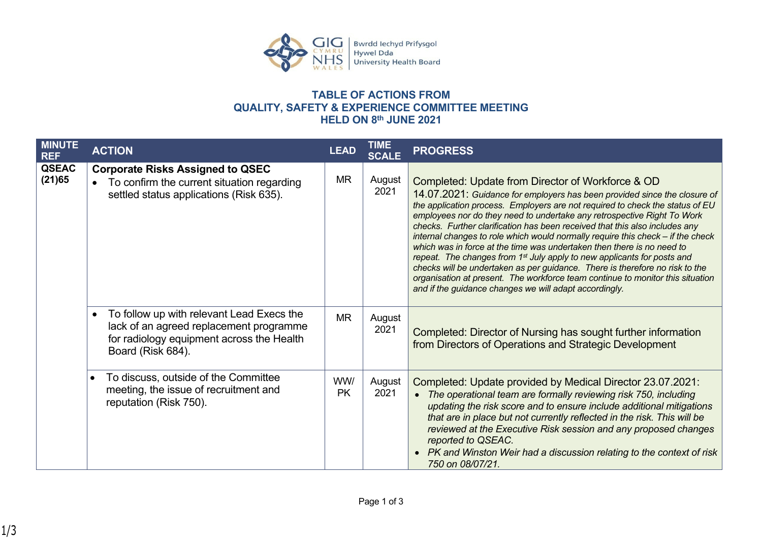

## **TABLE OF ACTIONS FROM QUALITY, SAFETY & EXPERIENCE COMMITTEE MEETING HELD ON 8th JUNE 2021**

| <b>MINUTE</b><br><b>REF</b> | <b>ACTION</b>                                                                                                                                          | <b>LEAD</b>      | TIME<br><b>SCALE</b> | <b>PROGRESS</b>                                                                                                                                                                                                                                                                                                                                                                                                                                                                                                                                                                                                                                                                                                                                                                                                                                           |
|-----------------------------|--------------------------------------------------------------------------------------------------------------------------------------------------------|------------------|----------------------|-----------------------------------------------------------------------------------------------------------------------------------------------------------------------------------------------------------------------------------------------------------------------------------------------------------------------------------------------------------------------------------------------------------------------------------------------------------------------------------------------------------------------------------------------------------------------------------------------------------------------------------------------------------------------------------------------------------------------------------------------------------------------------------------------------------------------------------------------------------|
| <b>QSEAC</b><br>(21)65      | <b>Corporate Risks Assigned to QSEC</b><br>To confirm the current situation regarding<br>settled status applications (Risk 635).                       | <b>MR</b>        | August<br>2021       | Completed: Update from Director of Workforce & OD<br>14.07.2021: Guidance for employers has been provided since the closure of<br>the application process. Employers are not required to check the status of EU<br>employees nor do they need to undertake any retrospective Right To Work<br>checks. Further clarification has been received that this also includes any<br>internal changes to role which would normally require this check - if the check<br>which was in force at the time was undertaken then there is no need to<br>repeat. The changes from 1 <sup>st</sup> July apply to new applicants for posts and<br>checks will be undertaken as per guidance. There is therefore no risk to the<br>organisation at present. The workforce team continue to monitor this situation<br>and if the guidance changes we will adapt accordingly. |
|                             | To follow up with relevant Lead Execs the<br>lack of an agreed replacement programme<br>for radiology equipment across the Health<br>Board (Risk 684). | <b>MR</b>        | August<br>2021       | Completed: Director of Nursing has sought further information<br>from Directors of Operations and Strategic Development                                                                                                                                                                                                                                                                                                                                                                                                                                                                                                                                                                                                                                                                                                                                   |
|                             | To discuss, outside of the Committee<br>meeting, the issue of recruitment and<br>reputation (Risk 750).                                                | WW/<br><b>PK</b> | August<br>2021       | Completed: Update provided by Medical Director 23.07.2021:<br>The operational team are formally reviewing risk 750, including<br>updating the risk score and to ensure include additional mitigations<br>that are in place but not currently reflected in the risk. This will be<br>reviewed at the Executive Risk session and any proposed changes<br>reported to QSEAC.<br>PK and Winston Weir had a discussion relating to the context of risk<br>750 on 08/07/21.                                                                                                                                                                                                                                                                                                                                                                                     |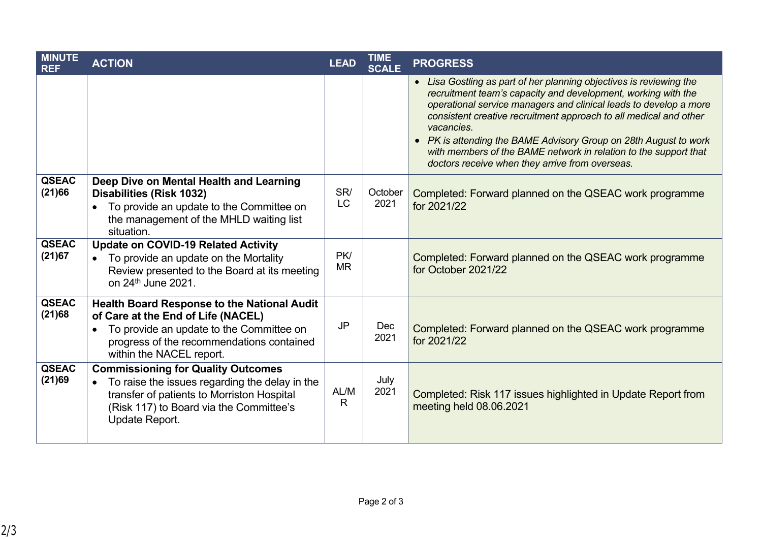| <b>MINUTE</b><br><b>REF</b> | <b>ACTION</b>                                                                                                                                                                                                              | <b>LEAD</b>      | <b>TIME</b><br><b>SCALE</b> | <b>PROGRESS</b>                                                                                                                                                                                                                                                                                                                                                                                                                                                                         |
|-----------------------------|----------------------------------------------------------------------------------------------------------------------------------------------------------------------------------------------------------------------------|------------------|-----------------------------|-----------------------------------------------------------------------------------------------------------------------------------------------------------------------------------------------------------------------------------------------------------------------------------------------------------------------------------------------------------------------------------------------------------------------------------------------------------------------------------------|
|                             |                                                                                                                                                                                                                            |                  |                             | • Lisa Gostling as part of her planning objectives is reviewing the<br>recruitment team's capacity and development, working with the<br>operational service managers and clinical leads to develop a more<br>consistent creative recruitment approach to all medical and other<br>vacancies.<br>• PK is attending the BAME Advisory Group on 28th August to work<br>with members of the BAME network in relation to the support that<br>doctors receive when they arrive from overseas. |
| <b>QSEAC</b><br>(21)66      | Deep Dive on Mental Health and Learning<br><b>Disabilities (Risk 1032)</b><br>To provide an update to the Committee on<br>the management of the MHLD waiting list<br>situation.                                            | SR/<br><b>LC</b> | October<br>2021             | Completed: Forward planned on the QSEAC work programme<br>for 2021/22                                                                                                                                                                                                                                                                                                                                                                                                                   |
| <b>QSEAC</b><br>(21)67      | <b>Update on COVID-19 Related Activity</b><br>To provide an update on the Mortality<br>Review presented to the Board at its meeting<br>on 24 <sup>th</sup> June 2021.                                                      | PK/<br><b>MR</b> |                             | Completed: Forward planned on the QSEAC work programme<br>for October 2021/22                                                                                                                                                                                                                                                                                                                                                                                                           |
| <b>QSEAC</b><br>(21)68      | <b>Health Board Response to the National Audit</b><br>of Care at the End of Life (NACEL)<br>To provide an update to the Committee on<br>$\bullet$<br>progress of the recommendations contained<br>within the NACEL report. | <b>JP</b>        | Dec<br>2021                 | Completed: Forward planned on the QSEAC work programme<br>for 2021/22                                                                                                                                                                                                                                                                                                                                                                                                                   |
| <b>QSEAC</b><br>(21)69      | <b>Commissioning for Quality Outcomes</b><br>To raise the issues regarding the delay in the<br>transfer of patients to Morriston Hospital<br>(Risk 117) to Board via the Committee's<br>Update Report.                     | AL/M<br>R        | July<br>2021                | Completed: Risk 117 issues highlighted in Update Report from<br>meeting held 08.06.2021                                                                                                                                                                                                                                                                                                                                                                                                 |